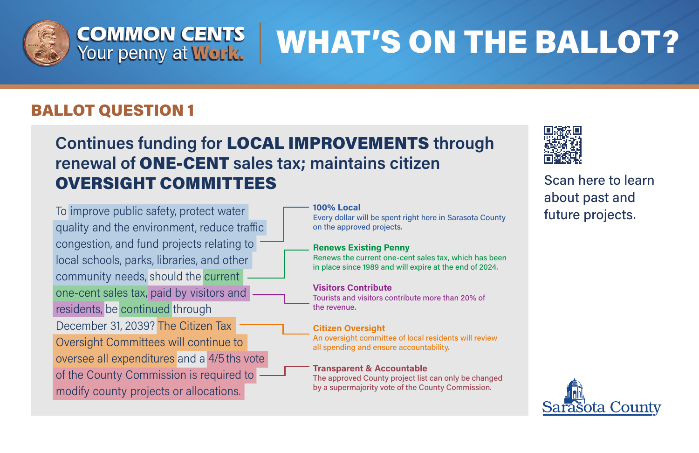

# **WHAT'S ON THE BALLOT?**

## BALLOT QUESTION 1

# **Continues funding for LOCAL IMPROVEMENTS through** renewal of ONE-CENT sales tax; maintains citizen **OVERSIGHT COMMITTEES**

To improve public safety, protect water quality and the environment, reduce traffic congestion, and fund projects relating to local schools, parks, libraries, and other community needs, should the current one-cent sales tax, paid by visitors and residents, be continued through December 31, 2039? The Citizen Tax Oversight Committees will continue to oversee all expenditures and a 4/5 ths vote of the County Commission is required to modify county projects or allocations.

100% Local Every dollar will be spent right here in Sarasota County on the approved projects.

### **Renews Existing Penny**

Renews the current one-cent sales tax, which has been in place since 1989 and will expire at the end of 2024.

## **Visitors Contribute**

Tourists and visitors contribute more than 20% of the revenue.

## **Citizen Oversight**

An oversight committee of local residents will review all spending and ensure accountability.

## **Transparent & Accountable**

The approved County project list can only be changed by a supermajority vote of the County Commission.



Scan here to learn about past and future projects.